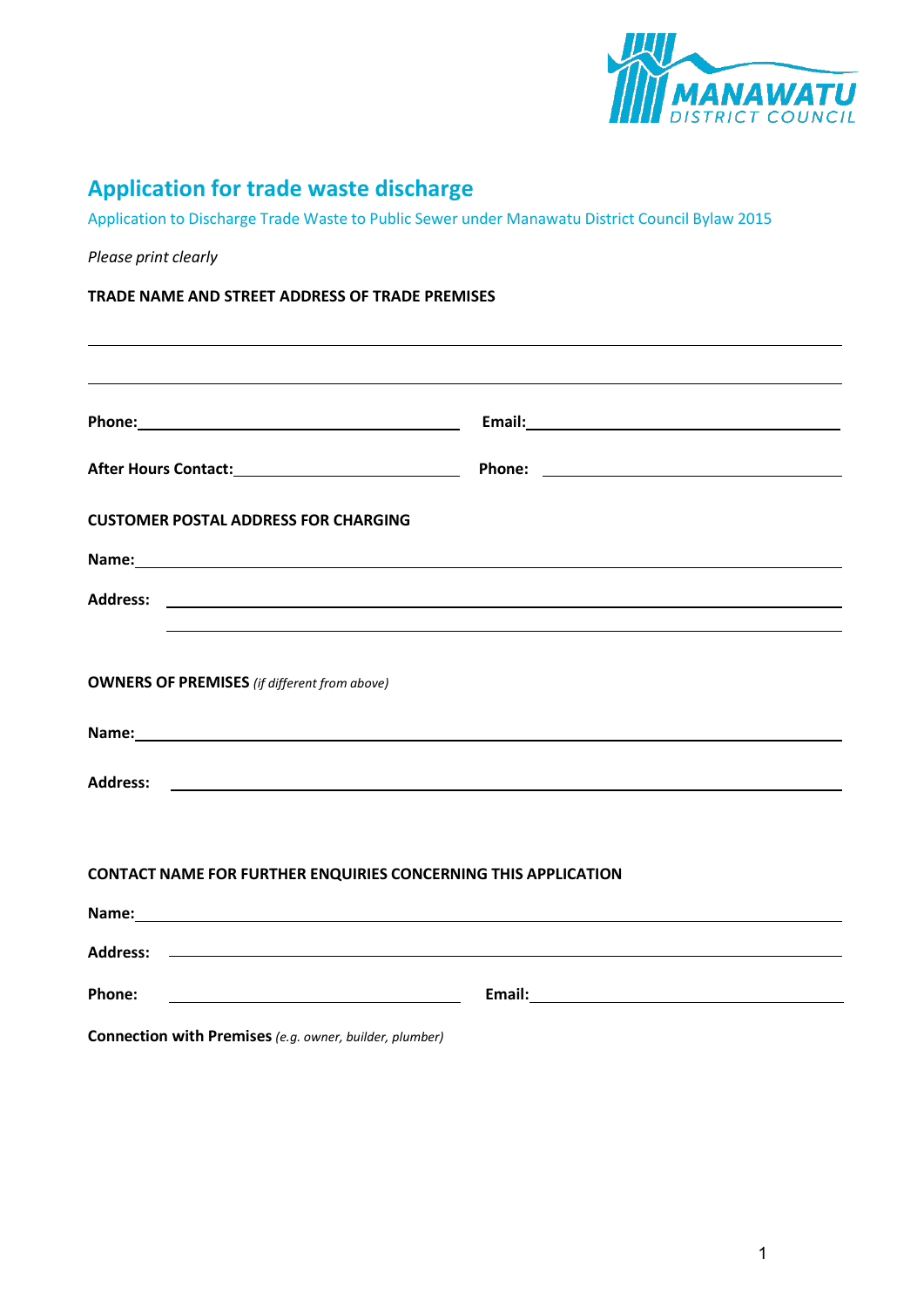

# **Application for trade waste discharge**

Application to Discharge Trade Waste to Public Sewer under Manawatu District Council Bylaw 2015

| Please print clearly                                                                                          |                                                                                                                                                                                                                               |  |
|---------------------------------------------------------------------------------------------------------------|-------------------------------------------------------------------------------------------------------------------------------------------------------------------------------------------------------------------------------|--|
| TRADE NAME AND STREET ADDRESS OF TRADE PREMISES                                                               |                                                                                                                                                                                                                               |  |
|                                                                                                               |                                                                                                                                                                                                                               |  |
| Phone: 2008 2010 2020 2020 2020 2021 2021 2022 2021 2022 2021 2022 2022 2022 2022 2021 2022 2022 2022 2022 20 |                                                                                                                                                                                                                               |  |
|                                                                                                               |                                                                                                                                                                                                                               |  |
| <b>CUSTOMER POSTAL ADDRESS FOR CHARGING</b>                                                                   |                                                                                                                                                                                                                               |  |
|                                                                                                               |                                                                                                                                                                                                                               |  |
|                                                                                                               |                                                                                                                                                                                                                               |  |
|                                                                                                               |                                                                                                                                                                                                                               |  |
| <b>OWNERS OF PREMISES</b> (if different from above)                                                           |                                                                                                                                                                                                                               |  |
|                                                                                                               | Name: Name: Name: Name: Name: Name: Name: Name: Name: Name: Name: Name: Name: Name: Name: Name: Name: Name: Name: Name: Name: Name: Name: Name: Name: Name: Name: Name: Name: Name: Name: Name: Name: Name: Name: Name: Name: |  |
|                                                                                                               |                                                                                                                                                                                                                               |  |
|                                                                                                               |                                                                                                                                                                                                                               |  |
|                                                                                                               | <b>CONTACT NAME FOR FURTHER ENQUIRIES CONCERNING THIS APPLICATION</b>                                                                                                                                                         |  |
|                                                                                                               |                                                                                                                                                                                                                               |  |
|                                                                                                               |                                                                                                                                                                                                                               |  |
| <b>Phone:</b>                                                                                                 |                                                                                                                                                                                                                               |  |
| Connection with Premises (e.g. owner, builder, plumber)                                                       |                                                                                                                                                                                                                               |  |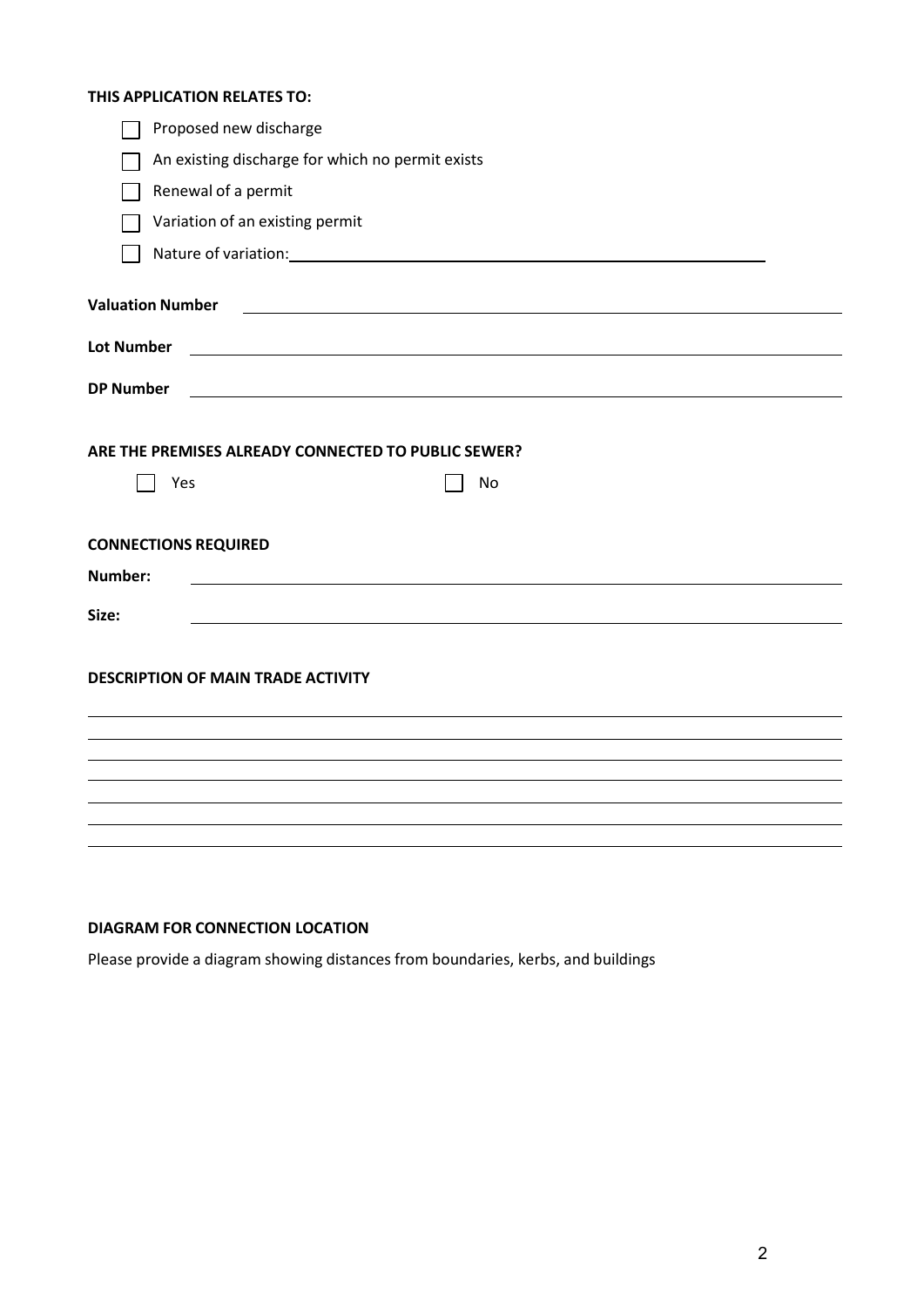#### **THIS APPLICATION RELATES TO:**

| Proposed new discharge                    |                                                                                                                      |  |
|-------------------------------------------|----------------------------------------------------------------------------------------------------------------------|--|
|                                           | An existing discharge for which no permit exists                                                                     |  |
| Renewal of a permit                       |                                                                                                                      |  |
| Variation of an existing permit           |                                                                                                                      |  |
|                                           |                                                                                                                      |  |
| <b>Valuation Number</b>                   | <u> 1980 - John Stein, maritan amerikan basal dan berkembang di kalendar dan basal dan berkembang dan berkembang</u> |  |
| <b>Lot Number</b>                         | <u> Alexandria de la contrada de la contrada de la contrada de la contrada de la contrada de la contrada de la c</u> |  |
| <b>DP Number</b>                          | <u> 1989 - Johann Stein, fransk politik (f. 1989)</u>                                                                |  |
|                                           |                                                                                                                      |  |
|                                           | ARE THE PREMISES ALREADY CONNECTED TO PUBLIC SEWER?                                                                  |  |
| Yes                                       | No                                                                                                                   |  |
|                                           |                                                                                                                      |  |
| <b>CONNECTIONS REQUIRED</b>               |                                                                                                                      |  |
| Number:                                   |                                                                                                                      |  |
| Size:                                     |                                                                                                                      |  |
|                                           |                                                                                                                      |  |
| <b>DESCRIPTION OF MAIN TRADE ACTIVITY</b> |                                                                                                                      |  |
|                                           |                                                                                                                      |  |
|                                           |                                                                                                                      |  |
|                                           |                                                                                                                      |  |
|                                           |                                                                                                                      |  |
|                                           |                                                                                                                      |  |
|                                           |                                                                                                                      |  |

## **DIAGRAM FOR CONNECTION LOCATION**

Please provide a diagram showing distances from boundaries, kerbs, and buildings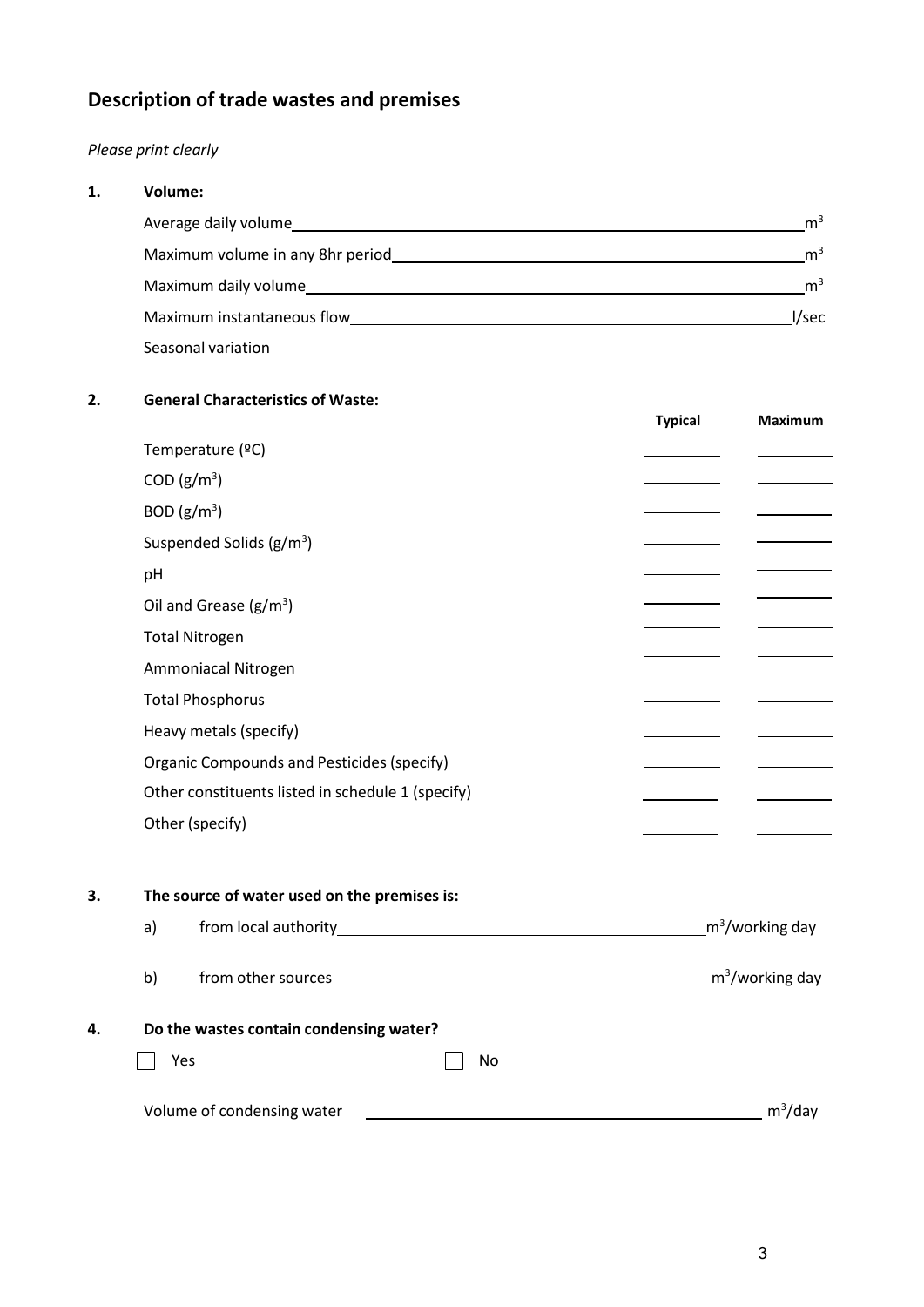# **Description of trade wastes and premises**

# *Please print clearly*

| 1.<br>Volume: |                                                                                                                                                                                                                                |                |
|---------------|--------------------------------------------------------------------------------------------------------------------------------------------------------------------------------------------------------------------------------|----------------|
|               | Average daily volume and the state of the state of the state of the state of the state of the state of the state of the state of the state of the state of the state of the state of the state of the state of the state of th | m <sup>3</sup> |
|               | Maximum volume in any 8hr period National Service Contract on the Maximum volume in any 8hr period                                                                                                                             | m <sup>3</sup> |
|               | Maximum daily volume and the contract of the contract of the contract of the contract of the contract of the contract of the contract of the contract of the contract of the contract of the contract of the contract of the c | m <sup>3</sup> |
|               | Maximum instantaneous flow and the material control of the material of the material of the material of the material of the material of the material of the material of the material of the material of the material of the mat | l/sec          |
|               | Seasonal variation<br><u> 1980 - Jan Sarajević, politički predstavanja i politička i politička i politička i politička i politička i p</u>                                                                                     |                |
|               |                                                                                                                                                                                                                                |                |

### **2. General Characteristics of Waste:**

|    |    |                                                   | <b>Typical</b> | <b>Maximum</b>              |
|----|----|---------------------------------------------------|----------------|-----------------------------|
|    |    | Temperature (°C)                                  |                |                             |
|    |    | COD (g/m <sup>3</sup> )                           |                |                             |
|    |    | BOD (g/m <sup>3</sup> )                           |                |                             |
|    |    | Suspended Solids $(g/m^3)$                        |                |                             |
|    | pH |                                                   |                |                             |
|    |    | Oil and Grease $(g/m^3)$                          |                |                             |
|    |    | <b>Total Nitrogen</b>                             |                |                             |
|    |    | Ammoniacal Nitrogen                               |                |                             |
|    |    | <b>Total Phosphorus</b>                           |                |                             |
|    |    | Heavy metals (specify)                            |                |                             |
|    |    | Organic Compounds and Pesticides (specify)        |                |                             |
|    |    | Other constituents listed in schedule 1 (specify) |                |                             |
|    |    | Other (specify)                                   |                |                             |
| 3. |    | The source of water used on the premises is:      |                |                             |
|    | a) |                                                   |                | m <sup>3</sup> /working day |
|    | b) | from other sources                                |                | m <sup>3</sup> /working day |
| 4. |    | Do the wastes contain condensing water?           |                |                             |

# $\Box$  Yes  $\Box$  No

| Volume of condensing water | m <sup>3</sup> /day |
|----------------------------|---------------------|
|                            |                     |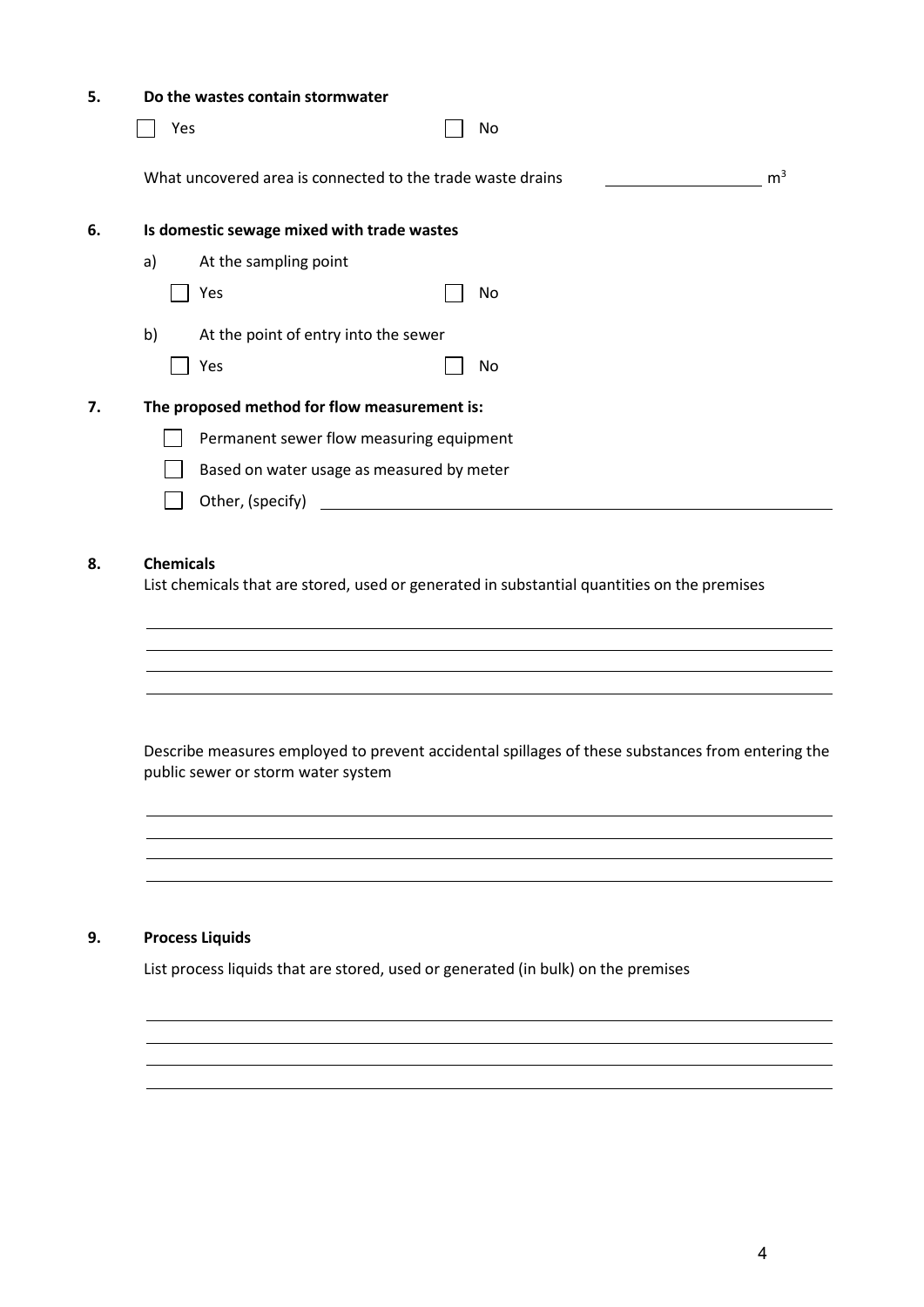| Do the wastes contain stormwater                                                                                                                                 |  |
|------------------------------------------------------------------------------------------------------------------------------------------------------------------|--|
| Yes<br>No                                                                                                                                                        |  |
| m <sup>3</sup><br>What uncovered area is connected to the trade waste drains                                                                                     |  |
| Is domestic sewage mixed with trade wastes                                                                                                                       |  |
| a)<br>At the sampling point                                                                                                                                      |  |
| Yes<br>No                                                                                                                                                        |  |
| b)<br>At the point of entry into the sewer                                                                                                                       |  |
| Yes<br>No                                                                                                                                                        |  |
| The proposed method for flow measurement is:                                                                                                                     |  |
| Permanent sewer flow measuring equipment                                                                                                                         |  |
| Based on water usage as measured by meter                                                                                                                        |  |
| Other, (specify)<br><u> 1980 - Jan Samuel Barbara, margaret e</u> n 1980 eta 1980 - Antonio II.a (h. 1910).<br>1980 - Johann Stein, frantziar idazlea (h. 1910). |  |
|                                                                                                                                                                  |  |
| <b>Chemicals</b><br>List chemicals that are stored, used or generated in substantial quantities on the premises                                                  |  |
|                                                                                                                                                                  |  |

Describe measures employed to prevent accidental spillages of these substances from entering the public sewer or storm water system

and the control of the control of the control of the control of the control of the control of the control of the

<u> 1989 - Johann Stoff, deutscher Stoffen und der Stoffen und der Stoffen und der Stoffen und der Stoffen und d</u> 

#### **9. Process Liquids**

List process liquids that are stored, used or generated (in bulk) on the premises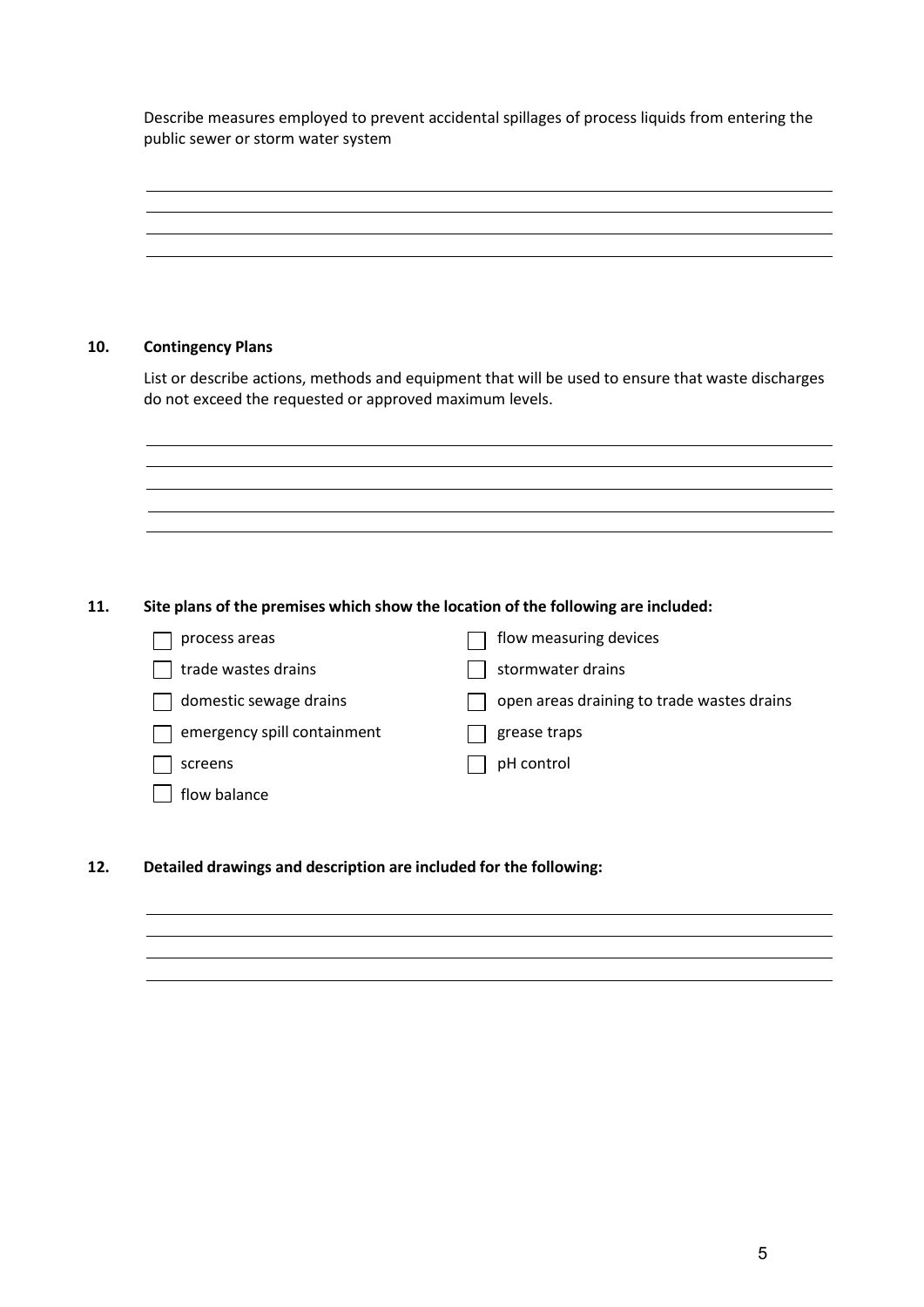Describe measures employed to prevent accidental spillages of process liquids from entering the public sewer or storm water system

**10. Contingency Plans** List or describe actions, methods and equipment that will be used to ensure that waste discharges do not exceed the requested or approved maximum levels. **11. Site plans of the premises which show the location of the following are included:**  $\Box$  process areas flow measuring devices  $\Box$  trade wastes drains  $\Box$  stormwater drains  $\Box$  domestic sewage drains  $\Box$  open areas draining to trade wastes drains  $\Box$  emergency spill containment  $\Box$  grease traps  $\Box$  screens  $\Box$  pH control  $\Box$  flow balance **12. Detailed drawings and description are included for the following:**

5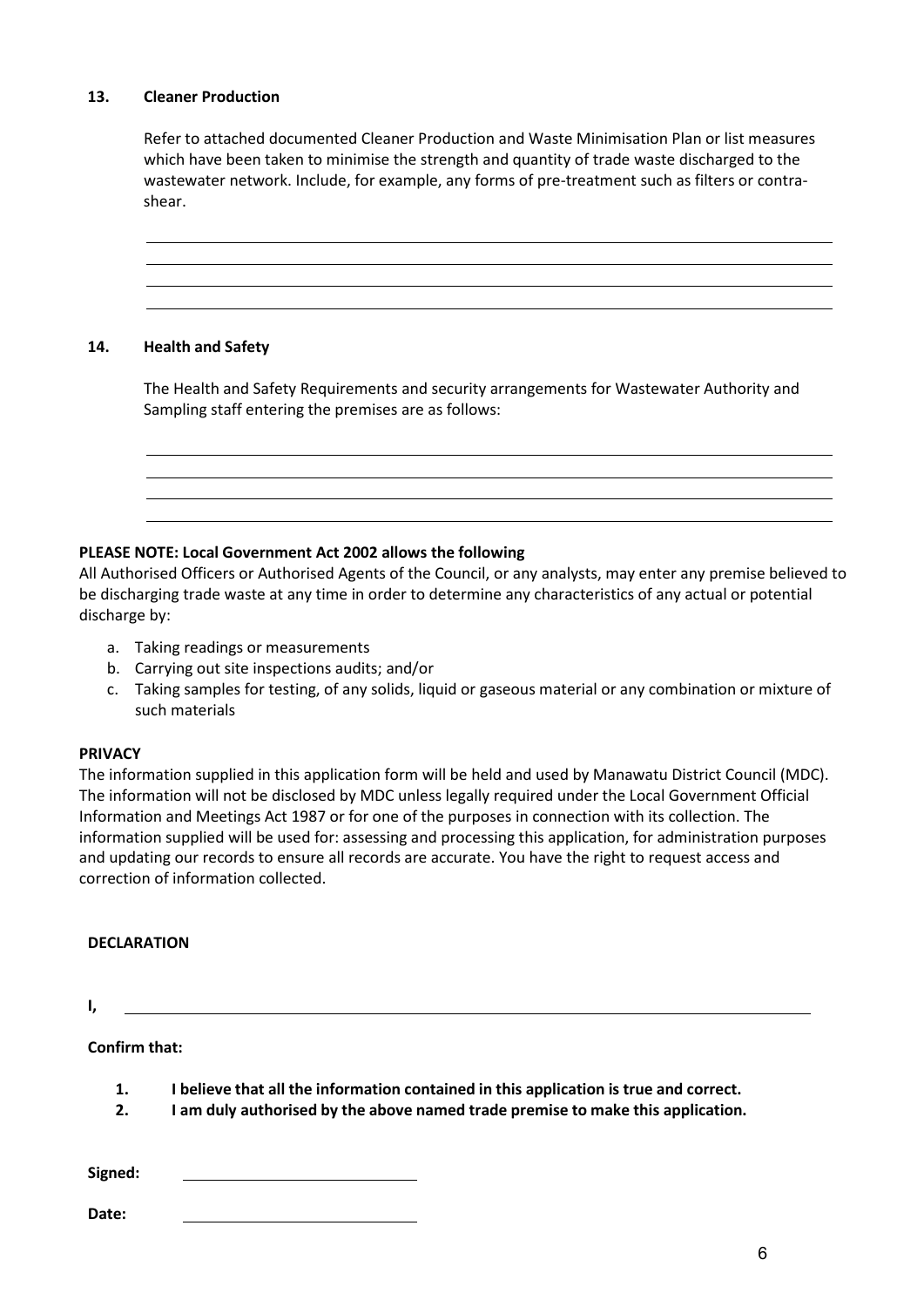#### **13. Cleaner Production**

Refer to attached documented Cleaner Production and Waste Minimisation Plan or list measures which have been taken to minimise the strength and quantity of trade waste discharged to the wastewater network. Include, for example, any forms of pre-treatment such as filters or contrashear.



#### **14. Health and Safety**

The Health and Safety Requirements and security arrangements for Wastewater Authority and Sampling staff entering the premises are as follows:

#### **PLEASE NOTE: Local Government Act 2002 allows the following**

All Authorised Officers or Authorised Agents of the Council, or any analysts, may enter any premise believed to be discharging trade waste at any time in order to determine any characteristics of any actual or potential discharge by:

- a. Taking readings or measurements
- b. Carrying out site inspections audits; and/or
- c. Taking samples for testing, of any solids, liquid or gaseous material or any combination or mixture of such materials

#### **PRIVACY**

The information supplied in this application form will be held and used by Manawatu District Council (MDC). The information will not be disclosed by MDC unless legally required under the Local Government Official Information and Meetings Act 1987 or for one of the purposes in connection with its collection. The information supplied will be used for: assessing and processing this application, for administration purposes and updating our records to ensure all records are accurate. You have the right to request access and correction of information collected.

#### **DECLARATION**

**I,** 

### **Confirm that:**

- **1. I believe that all the information contained in this application is true and correct.**
- **2. I am duly authorised by the above named trade premise to make this application.**

**Signed:** 

**Date:**